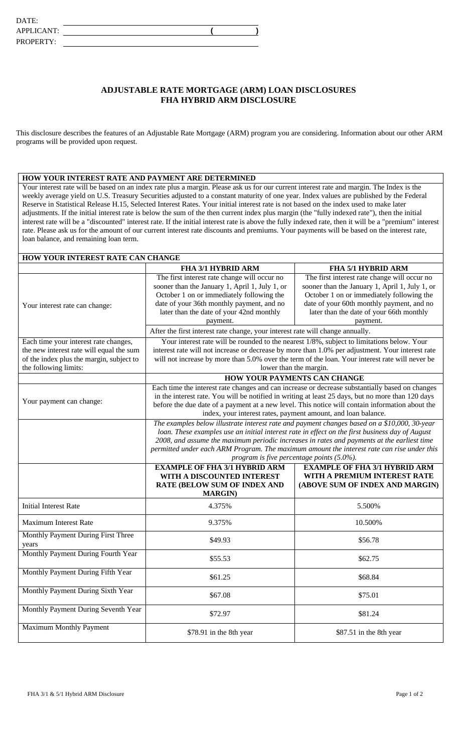## **ADJUSTABLE RATE MORTGAGE (ARM) LOAN DISCLOSURES FHA HYBRID ARM DISCLOSURE**

This disclosure describes the features of an Adjustable Rate Mortgage (ARM) program you are considering. Information about our other ARM programs will be provided upon request.

## **HOW YOUR INTEREST RATE AND PAYMENT ARE DETERMINED**

Your interest rate will be based on an index rate plus a margin. Please ask us for our current interest rate and margin. The Index is the weekly average yield on U.S. Treasury Securities adjusted to a constant maturity of one year. Index values are published by the Federal Reserve in Statistical Release H.15, Selected Interest Rates. Your initial interest rate is not based on the index used to make later adjustments. If the initial interest rate is below the sum of the then current index plus margin (the "fully indexed rate"), then the initial interest rate will be a "discounted" interest rate. If the initial interest rate is above the fully indexed rate, then it will be a "premium" interest rate. Please ask us for the amount of our current interest rate discounts and premiums. Your payments will be based on the interest rate, loan balance, and remaining loan term.

| <b>HOW YOUR INTEREST RATE CAN CHANGE</b> |                                                                                                                                                                                               |                                                |  |
|------------------------------------------|-----------------------------------------------------------------------------------------------------------------------------------------------------------------------------------------------|------------------------------------------------|--|
|                                          | FHA 3/1 HYBRID ARM                                                                                                                                                                            | FHA 5/1 HYBRID ARM                             |  |
|                                          | The first interest rate change will occur no                                                                                                                                                  | The first interest rate change will occur no   |  |
|                                          | sooner than the January 1, April 1, July 1, or                                                                                                                                                | sooner than the January 1, April 1, July 1, or |  |
|                                          | October 1 on or immediately following the                                                                                                                                                     | October 1 on or immediately following the      |  |
| Your interest rate can change:           | date of your 36th monthly payment, and no                                                                                                                                                     | date of your 60th monthly payment, and no      |  |
|                                          | later than the date of your 42nd monthly                                                                                                                                                      | later than the date of your 66th monthly       |  |
|                                          | payment.                                                                                                                                                                                      | payment.                                       |  |
|                                          | After the first interest rate change, your interest rate will change annually.                                                                                                                |                                                |  |
| Each time your interest rate changes,    | Your interest rate will be rounded to the nearest 1/8%, subject to limitations below. Your                                                                                                    |                                                |  |
| the new interest rate will equal the sum | interest rate will not increase or decrease by more than 1.0% per adjustment. Your interest rate                                                                                              |                                                |  |
| of the index plus the margin, subject to | will not increase by more than 5.0% over the term of the loan. Your interest rate will never be                                                                                               |                                                |  |
| the following limits:                    | lower than the margin.                                                                                                                                                                        |                                                |  |
|                                          | <b>HOW YOUR PAYMENTS CAN CHANGE</b>                                                                                                                                                           |                                                |  |
|                                          | Each time the interest rate changes and can increase or decrease substantially based on changes                                                                                               |                                                |  |
| Your payment can change:                 | in the interest rate. You will be notified in writing at least 25 days, but no more than 120 days                                                                                             |                                                |  |
|                                          | before the due date of a payment at a new level. This notice will contain information about the                                                                                               |                                                |  |
|                                          | index, your interest rates, payment amount, and loan balance.                                                                                                                                 |                                                |  |
|                                          | The examples below illustrate interest rate and payment changes based on a \$10,000, 30-year                                                                                                  |                                                |  |
|                                          | loan. These examples use an initial interest rate in effect on the first business day of August<br>2008, and assume the maximum periodic increases in rates and payments at the earliest time |                                                |  |
|                                          | permitted under each ARM Program. The maximum amount the interest rate can rise under this                                                                                                    |                                                |  |
|                                          | program is five percentage points (5.0%).                                                                                                                                                     |                                                |  |
|                                          | <b>EXAMPLE OF FHA 3/1 HYBRID ARM</b><br><b>EXAMPLE OF FHA 3/1 HYBRID ARM</b>                                                                                                                  |                                                |  |
|                                          | WITH A DISCOUNTED INTEREST                                                                                                                                                                    | WITH A PREMIUM INTEREST RATE                   |  |
|                                          | <b>RATE (BELOW SUM OF INDEX AND</b>                                                                                                                                                           | (ABOVE SUM OF INDEX AND MARGIN)                |  |
|                                          | <b>MARGIN</b> )                                                                                                                                                                               |                                                |  |
| <b>Initial Interest Rate</b>             | 4.375%                                                                                                                                                                                        | 5.500%                                         |  |
| <b>Maximum Interest Rate</b>             | 9.375%                                                                                                                                                                                        | 10.500%                                        |  |
| Monthly Payment During First Three       |                                                                                                                                                                                               |                                                |  |
| years                                    | \$49.93                                                                                                                                                                                       | \$56.78                                        |  |
| Monthly Payment During Fourth Year       | \$55.53                                                                                                                                                                                       | \$62.75                                        |  |
| Monthly Payment During Fifth Year        |                                                                                                                                                                                               |                                                |  |
|                                          | \$61.25                                                                                                                                                                                       | \$68.84                                        |  |
| Monthly Payment During Sixth Year        | \$67.08                                                                                                                                                                                       | \$75.01                                        |  |
| Monthly Payment During Seventh Year      |                                                                                                                                                                                               |                                                |  |
|                                          | \$72.97                                                                                                                                                                                       | \$81.24                                        |  |
| <b>Maximum Monthly Payment</b>           | \$78.91 in the 8th year                                                                                                                                                                       | \$87.51 in the 8th year                        |  |